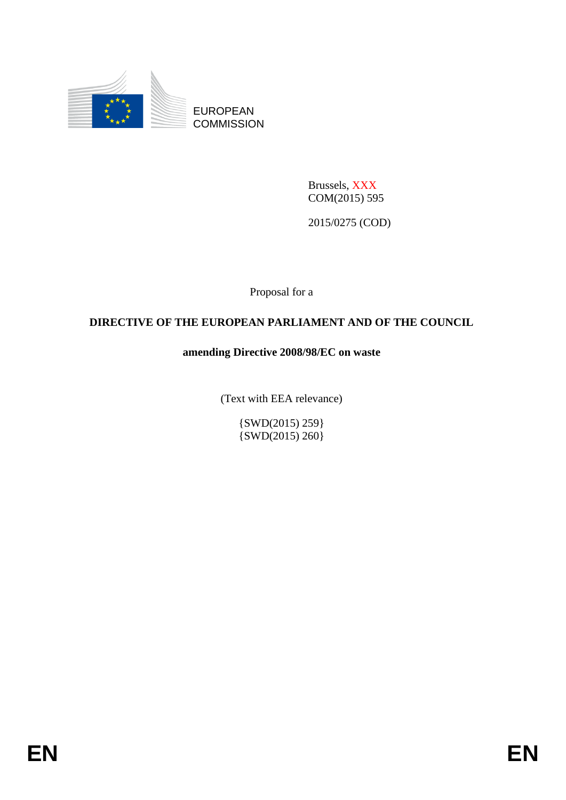

EUROPEAN **COMMISSION** 

> Brussels, XXX COM(2015) 595

2015/0275 (COD)

Proposal for a

# **DIRECTIVE OF THE EUROPEAN PARLIAMENT AND OF THE COUNCIL**

# **amending Directive 2008/98/EC on waste**

(Text with EEA relevance)

{SWD(2015) 259}  $\{SWD(2015), 260\}$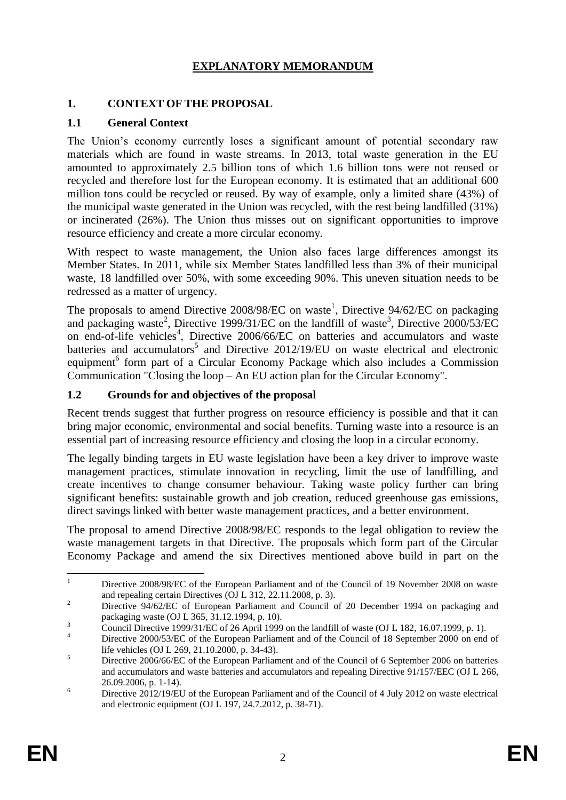# **EXPLANATORY MEMORANDUM**

#### **1. CONTEXT OF THE PROPOSAL**

### **1.1 General Context**

The Union's economy currently loses a significant amount of potential secondary raw materials which are found in waste streams. In 2013, total waste generation in the EU amounted to approximately 2.5 billion tons of which 1.6 billion tons were not reused or recycled and therefore lost for the European economy. It is estimated that an additional 600 million tons could be recycled or reused. By way of example, only a limited share (43%) of the municipal waste generated in the Union was recycled, with the rest being landfilled (31%) or incinerated (26%). The Union thus misses out on significant opportunities to improve resource efficiency and create a more circular economy.

With respect to waste management, the Union also faces large differences amongst its Member States. In 2011, while six Member States landfilled less than 3% of their municipal waste, 18 landfilled over 50%, with some exceeding 90%. This uneven situation needs to be redressed as a matter of urgency.

The proposals to amend Directive 2008/98/EC on waste<sup>1</sup>, Directive  $94/62$ /EC on packaging and packaging waste<sup>2</sup>, Directive 1999/31/EC on the landfill of waste<sup>3</sup>, Directive  $2000/53/EC$ on end-of-life vehicles<sup>4</sup>, Directive 2006/66/EC on batteries and accumulators and waste batteries and accumulators<sup>5</sup> and Directive  $2012/19/EU$  on waste electrical and electronic equipment<sup>6</sup> form part of a Circular Economy Package which also includes a Commission Communication "Closing the loop – An EU action plan for the Circular Economy".

### **1.2 Grounds for and objectives of the proposal**

Recent trends suggest that further progress on resource efficiency is possible and that it can bring major economic, environmental and social benefits. Turning waste into a resource is an essential part of increasing resource efficiency and closing the loop in a circular economy.

The legally binding targets in EU waste legislation have been a key driver to improve waste management practices, stimulate innovation in recycling, limit the use of landfilling, and create incentives to change consumer behaviour. Taking waste policy further can bring significant benefits: sustainable growth and job creation, reduced greenhouse gas emissions, direct savings linked with better waste management practices, and a better environment.

The proposal to amend Directive 2008/98/EC responds to the legal obligation to review the waste management targets in that Directive. The proposals which form part of the Circular Economy Package and amend the six Directives mentioned above build in part on the

 $\mathbf{1}$ <sup>1</sup> Directive 2008/98/EC of the European Parliament and of the Council of 19 November 2008 on waste and repealing certain Directives (OJ L 312, 22.11.2008, p. 3).

<sup>&</sup>lt;sup>2</sup> Directive 94/62/EC of European Parliament and Council of 20 December 1994 on packaging and packaging waste (OJ L 365, 31.12.1994, p. 10).

 $\frac{3}{4}$  Council Directive 1999/31/EC of 26 April 1999 on the landfill of waste (OJ L 182, 16.07.1999, p. 1).

Directive 2000/53/EC of the European Parliament and of the Council of 18 September 2000 on end of life vehicles (OJ L 269, 21.10.2000, p. 34-43).

<sup>&</sup>lt;sup>5</sup> Directive 2006/66/EC of the European Parliament and of the Council of 6 September 2006 on batteries and accumulators and waste batteries and accumulators and repealing Directive 91/157/EEC (OJ L 266, 26.09.2006, p. 1-14).

<sup>&</sup>lt;sup>6</sup> Directive 2012/19/EU of the European Parliament and of the Council of 4 July 2012 on waste electrical and electronic equipment (OJ L 197, 24.7.2012, p. 38-71).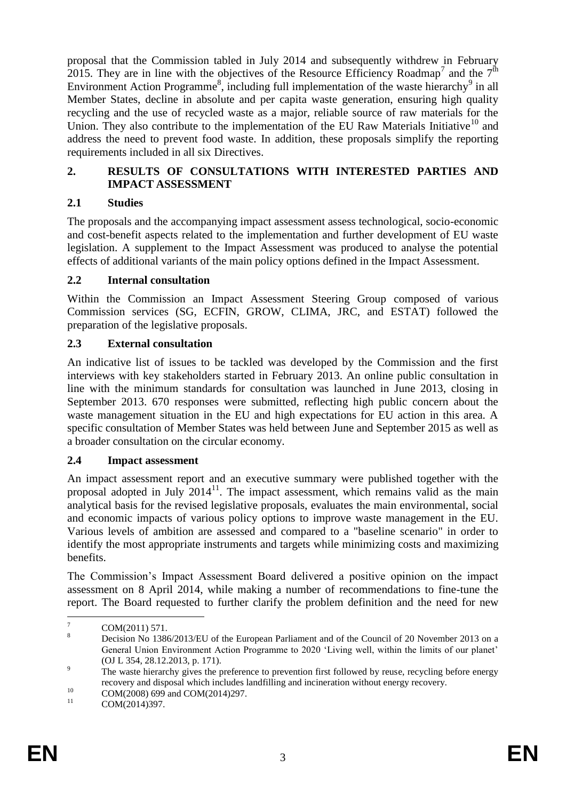proposal that the Commission tabled in July 2014 and subsequently withdrew in February 2015. They are in line with the objectives of the Resource Efficiency Roadmap<sup>7</sup> and the  $7<sup>th</sup>$ Environment Action Programme<sup>8</sup>, including full implementation of the waste hierarchy<sup>9</sup> in all Member States, decline in absolute and per capita waste generation, ensuring high quality recycling and the use of recycled waste as a major, reliable source of raw materials for the Union. They also contribute to the implementation of the EU Raw Materials Initiative<sup>10</sup> and address the need to prevent food waste. In addition, these proposals simplify the reporting requirements included in all six Directives.

### **2. RESULTS OF CONSULTATIONS WITH INTERESTED PARTIES AND IMPACT ASSESSMENT**

## **2.1 Studies**

The proposals and the accompanying impact assessment assess technological, socio-economic and cost-benefit aspects related to the implementation and further development of EU waste legislation. A supplement to the Impact Assessment was produced to analyse the potential effects of additional variants of the main policy options defined in the Impact Assessment.

## **2.2 Internal consultation**

Within the Commission an Impact Assessment Steering Group composed of various Commission services (SG, ECFIN, GROW, CLIMA, JRC, and ESTAT) followed the preparation of the legislative proposals.

# **2.3 External consultation**

An indicative list of issues to be tackled was developed by the Commission and the first interviews with key stakeholders started in February 2013. An online public consultation in line with the minimum standards for consultation was launched in June 2013, closing in September 2013. 670 responses were submitted, reflecting high public concern about the waste management situation in the EU and high expectations for EU action in this area. A specific consultation of Member States was held between June and September 2015 as well as a broader consultation on the circular economy.

## **2.4 Impact assessment**

An impact assessment report and an executive summary were published together with the proposal adopted in July  $2014<sup>11</sup>$ . The impact assessment, which remains valid as the main analytical basis for the revised legislative proposals, evaluates the main environmental, social and economic impacts of various policy options to improve waste management in the EU. Various levels of ambition are assessed and compared to a "baseline scenario" in order to identify the most appropriate instruments and targets while minimizing costs and maximizing benefits.

The Commission's Impact Assessment Board delivered a positive opinion on the impact assessment on 8 April 2014, while making a number of recommendations to fine-tune the report. The Board requested to further clarify the problem definition and the need for new

 $\overline{7}$  $\frac{7}{8}$  COM(2011) 571.

<sup>8</sup> Decision No 1386/2013/EU of the European Parliament and of the Council of 20 November 2013 on a General Union Environment Action Programme to 2020 'Living well, within the limits of our planet' (OJ L 354, 28.12.2013, p. 171).

 $\overline{p}$  The waste hierarchy gives the preference to prevention first followed by reuse, recycling before energy recovery and disposal which includes landfilling and incineration without energy recovery.

 $^{10}$  COM(2008) 699 and COM(2014)297.

COM(2014)397.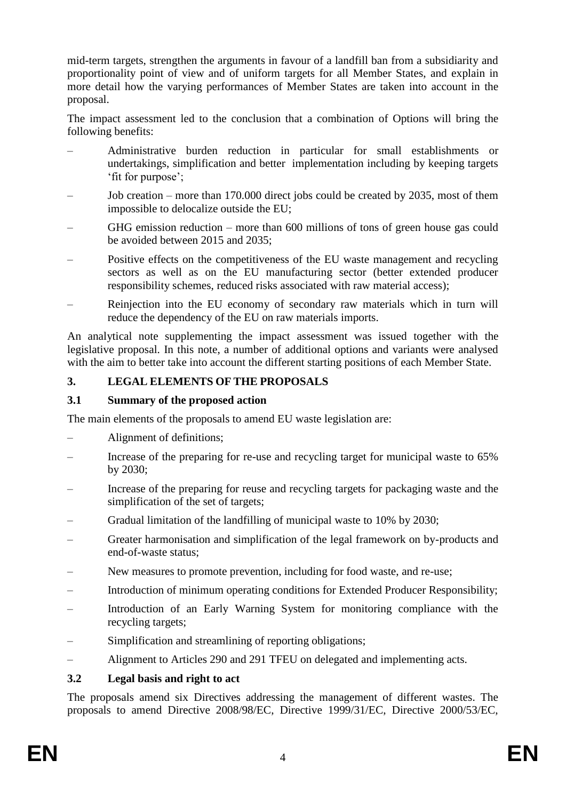mid-term targets, strengthen the arguments in favour of a landfill ban from a subsidiarity and proportionality point of view and of uniform targets for all Member States, and explain in more detail how the varying performances of Member States are taken into account in the proposal.

The impact assessment led to the conclusion that a combination of Options will bring the following benefits:

- Administrative burden reduction in particular for small establishments or undertakings, simplification and better implementation including by keeping targets 'fit for purpose';
- Job creation more than 170.000 direct jobs could be created by 2035, most of them impossible to delocalize outside the EU;
- GHG emission reduction more than 600 millions of tons of green house gas could be avoided between 2015 and 2035;
- Positive effects on the competitiveness of the EU waste management and recycling sectors as well as on the EU manufacturing sector (better extended producer responsibility schemes, reduced risks associated with raw material access);
- Reinjection into the EU economy of secondary raw materials which in turn will reduce the dependency of the EU on raw materials imports.

An analytical note supplementing the impact assessment was issued together with the legislative proposal. In this note, a number of additional options and variants were analysed with the aim to better take into account the different starting positions of each Member State.

# **3. LEGAL ELEMENTS OF THE PROPOSALS**

### **3.1 Summary of the proposed action**

The main elements of the proposals to amend EU waste legislation are:

- Alignment of definitions;
- Increase of the preparing for re-use and recycling target for municipal waste to 65% by 2030;
- Increase of the preparing for reuse and recycling targets for packaging waste and the simplification of the set of targets;
- Gradual limitation of the landfilling of municipal waste to 10% by 2030;
- Greater harmonisation and simplification of the legal framework on by-products and end-of-waste status;
- New measures to promote prevention, including for food waste, and re-use;
- Introduction of minimum operating conditions for Extended Producer Responsibility;
- Introduction of an Early Warning System for monitoring compliance with the recycling targets;
- Simplification and streamlining of reporting obligations;
- Alignment to Articles 290 and 291 TFEU on delegated and implementing acts.

#### **3.2 Legal basis and right to act**

The proposals amend six Directives addressing the management of different wastes. The proposals to amend Directive 2008/98/EC, Directive 1999/31/EC, Directive 2000/53/EC,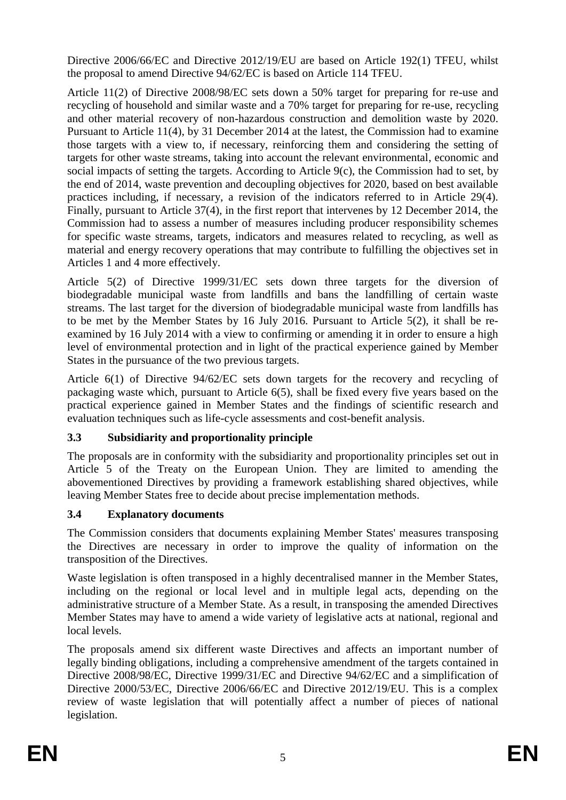Directive 2006/66/EC and Directive 2012/19/EU are based on Article 192(1) TFEU, whilst the proposal to amend Directive 94/62/EC is based on Article 114 TFEU.

Article 11(2) of Directive 2008/98/EC sets down a 50% target for preparing for re-use and recycling of household and similar waste and a 70% target for preparing for re-use, recycling and other material recovery of non-hazardous construction and demolition waste by 2020. Pursuant to Article 11(4), by 31 December 2014 at the latest, the Commission had to examine those targets with a view to, if necessary, reinforcing them and considering the setting of targets for other waste streams, taking into account the relevant environmental, economic and social impacts of setting the targets. According to Article 9(c), the Commission had to set, by the end of 2014, waste prevention and decoupling objectives for 2020, based on best available practices including, if necessary, a revision of the indicators referred to in Article 29(4). Finally, pursuant to Article 37(4), in the first report that intervenes by 12 December 2014, the Commission had to assess a number of measures including producer responsibility schemes for specific waste streams, targets, indicators and measures related to recycling, as well as material and energy recovery operations that may contribute to fulfilling the objectives set in Articles 1 and 4 more effectively.

Article 5(2) of Directive 1999/31/EC sets down three targets for the diversion of biodegradable municipal waste from landfills and bans the landfilling of certain waste streams. The last target for the diversion of biodegradable municipal waste from landfills has to be met by the Member States by 16 July 2016. Pursuant to Article 5(2), it shall be reexamined by 16 July 2014 with a view to confirming or amending it in order to ensure a high level of environmental protection and in light of the practical experience gained by Member States in the pursuance of the two previous targets.

Article 6(1) of Directive 94/62/EC sets down targets for the recovery and recycling of packaging waste which, pursuant to Article 6(5), shall be fixed every five years based on the practical experience gained in Member States and the findings of scientific research and evaluation techniques such as life-cycle assessments and cost-benefit analysis.

# **3.3 Subsidiarity and proportionality principle**

The proposals are in conformity with the subsidiarity and proportionality principles set out in Article 5 of the Treaty on the European Union. They are limited to amending the abovementioned Directives by providing a framework establishing shared objectives, while leaving Member States free to decide about precise implementation methods.

## **3.4 Explanatory documents**

The Commission considers that documents explaining Member States' measures transposing the Directives are necessary in order to improve the quality of information on the transposition of the Directives.

Waste legislation is often transposed in a highly decentralised manner in the Member States, including on the regional or local level and in multiple legal acts, depending on the administrative structure of a Member State. As a result, in transposing the amended Directives Member States may have to amend a wide variety of legislative acts at national, regional and local levels.

The proposals amend six different waste Directives and affects an important number of legally binding obligations, including a comprehensive amendment of the targets contained in Directive 2008/98/EC, Directive 1999/31/EC and Directive 94/62/EC and a simplification of Directive 2000/53/EC, Directive 2006/66/EC and Directive 2012/19/EU. This is a complex review of waste legislation that will potentially affect a number of pieces of national legislation.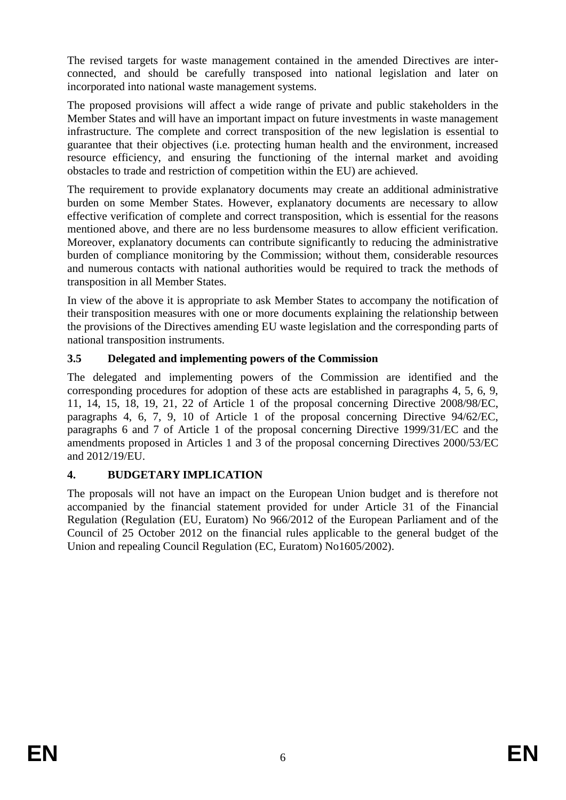The revised targets for waste management contained in the amended Directives are interconnected, and should be carefully transposed into national legislation and later on incorporated into national waste management systems.

The proposed provisions will affect a wide range of private and public stakeholders in the Member States and will have an important impact on future investments in waste management infrastructure. The complete and correct transposition of the new legislation is essential to guarantee that their objectives (i.e. protecting human health and the environment, increased resource efficiency, and ensuring the functioning of the internal market and avoiding obstacles to trade and restriction of competition within the EU) are achieved.

The requirement to provide explanatory documents may create an additional administrative burden on some Member States. However, explanatory documents are necessary to allow effective verification of complete and correct transposition, which is essential for the reasons mentioned above, and there are no less burdensome measures to allow efficient verification. Moreover, explanatory documents can contribute significantly to reducing the administrative burden of compliance monitoring by the Commission; without them, considerable resources and numerous contacts with national authorities would be required to track the methods of transposition in all Member States.

In view of the above it is appropriate to ask Member States to accompany the notification of their transposition measures with one or more documents explaining the relationship between the provisions of the Directives amending EU waste legislation and the corresponding parts of national transposition instruments.

# **3.5 Delegated and implementing powers of the Commission**

The delegated and implementing powers of the Commission are identified and the corresponding procedures for adoption of these acts are established in paragraphs 4, 5, 6, 9, 11, 14, 15, 18, 19, 21, 22 of Article 1 of the proposal concerning Directive 2008/98/EC, paragraphs 4, 6, 7, 9, 10 of Article 1 of the proposal concerning Directive 94/62/EC, paragraphs 6 and 7 of Article 1 of the proposal concerning Directive 1999/31/EC and the amendments proposed in Articles 1 and 3 of the proposal concerning Directives 2000/53/EC and 2012/19/EU.

# **4. BUDGETARY IMPLICATION**

The proposals will not have an impact on the European Union budget and is therefore not accompanied by the financial statement provided for under Article 31 of the Financial Regulation (Regulation (EU, Euratom) No 966/2012 of the European Parliament and of the Council of 25 October 2012 on the financial rules applicable to the general budget of the Union and repealing Council Regulation (EC, Euratom) No1605/2002).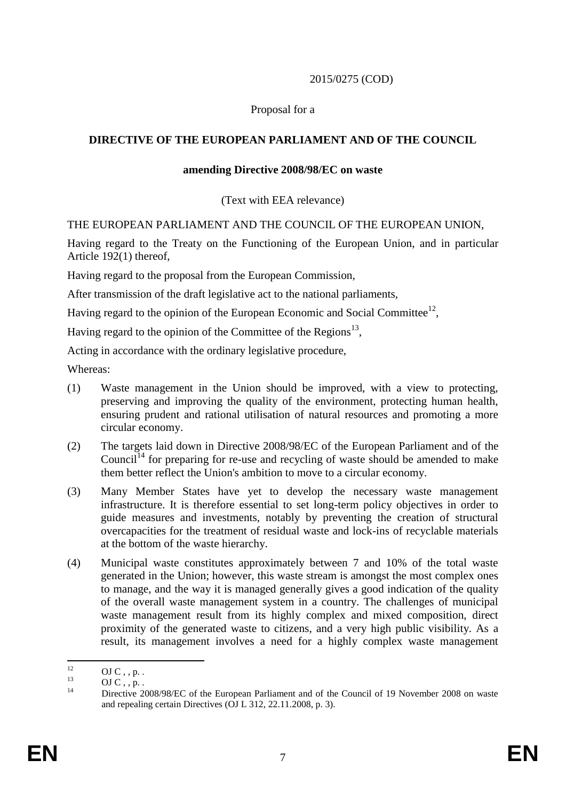#### 2015/0275 (COD)

### Proposal for a

### **DIRECTIVE OF THE EUROPEAN PARLIAMENT AND OF THE COUNCIL**

#### **amending Directive 2008/98/EC on waste**

(Text with EEA relevance)

#### THE EUROPEAN PARLIAMENT AND THE COUNCIL OF THE EUROPEAN UNION,

Having regard to the Treaty on the Functioning of the European Union, and in particular Article 192(1) thereof,

Having regard to the proposal from the European Commission,

After transmission of the draft legislative act to the national parliaments,

Having regard to the opinion of the European Economic and Social Committee<sup>12</sup>,

Having regard to the opinion of the Committee of the Regions<sup>13</sup>,

Acting in accordance with the ordinary legislative procedure,

Whereas:

- (1) Waste management in the Union should be improved, with a view to protecting, preserving and improving the quality of the environment, protecting human health, ensuring prudent and rational utilisation of natural resources and promoting a more circular economy.
- (2) The targets laid down in Directive 2008/98/EC of the European Parliament and of the Council<sup>14</sup> for preparing for re-use and recycling of waste should be amended to make them better reflect the Union's ambition to move to a circular economy.
- (3) Many Member States have yet to develop the necessary waste management infrastructure. It is therefore essential to set long-term policy objectives in order to guide measures and investments, notably by preventing the creation of structural overcapacities for the treatment of residual waste and lock-ins of recyclable materials at the bottom of the waste hierarchy.
- (4) Municipal waste constitutes approximately between 7 and 10% of the total waste generated in the Union; however, this waste stream is amongst the most complex ones to manage, and the way it is managed generally gives a good indication of the quality of the overall waste management system in a country. The challenges of municipal waste management result from its highly complex and mixed composition, direct proximity of the generated waste to citizens, and a very high public visibility. As a result, its management involves a need for a highly complex waste management

 $12<sup>°</sup>$  $^{12}$  OJ C , , p. .

 $\overline{C}$  OJ C, , p.

Directive 2008/98/EC of the European Parliament and of the Council of 19 November 2008 on waste and repealing certain Directives (OJ L 312, 22.11.2008, p. 3).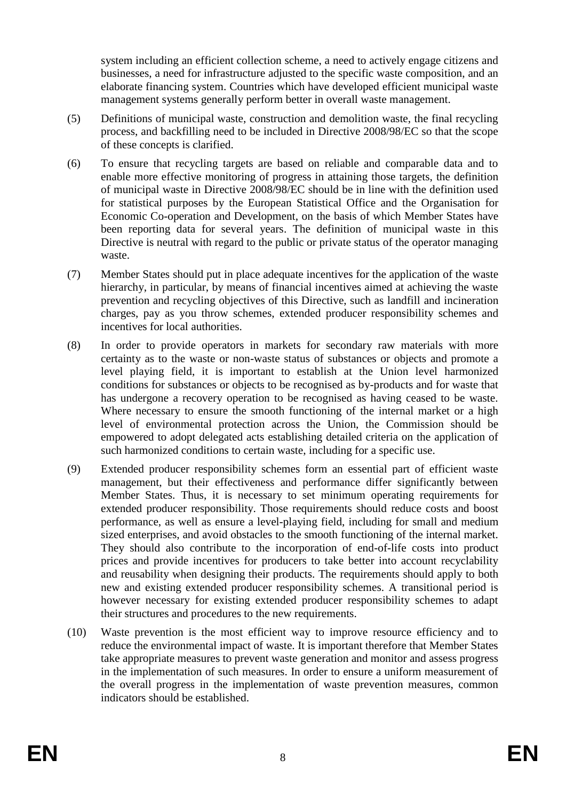system including an efficient collection scheme, a need to actively engage citizens and businesses, a need for infrastructure adjusted to the specific waste composition, and an elaborate financing system. Countries which have developed efficient municipal waste management systems generally perform better in overall waste management.

- (5) Definitions of municipal waste, construction and demolition waste, the final recycling process, and backfilling need to be included in Directive 2008/98/EC so that the scope of these concepts is clarified.
- (6) To ensure that recycling targets are based on reliable and comparable data and to enable more effective monitoring of progress in attaining those targets, the definition of municipal waste in Directive 2008/98/EC should be in line with the definition used for statistical purposes by the European Statistical Office and the Organisation for Economic Co-operation and Development, on the basis of which Member States have been reporting data for several years. The definition of municipal waste in this Directive is neutral with regard to the public or private status of the operator managing waste.
- (7) Member States should put in place adequate incentives for the application of the waste hierarchy, in particular, by means of financial incentives aimed at achieving the waste prevention and recycling objectives of this Directive, such as landfill and incineration charges, pay as you throw schemes, extended producer responsibility schemes and incentives for local authorities.
- (8) In order to provide operators in markets for secondary raw materials with more certainty as to the waste or non-waste status of substances or objects and promote a level playing field, it is important to establish at the Union level harmonized conditions for substances or objects to be recognised as by-products and for waste that has undergone a recovery operation to be recognised as having ceased to be waste. Where necessary to ensure the smooth functioning of the internal market or a high level of environmental protection across the Union, the Commission should be empowered to adopt delegated acts establishing detailed criteria on the application of such harmonized conditions to certain waste, including for a specific use.
- (9) Extended producer responsibility schemes form an essential part of efficient waste management, but their effectiveness and performance differ significantly between Member States. Thus, it is necessary to set minimum operating requirements for extended producer responsibility. Those requirements should reduce costs and boost performance, as well as ensure a level-playing field, including for small and medium sized enterprises, and avoid obstacles to the smooth functioning of the internal market. They should also contribute to the incorporation of end-of-life costs into product prices and provide incentives for producers to take better into account recyclability and reusability when designing their products. The requirements should apply to both new and existing extended producer responsibility schemes. A transitional period is however necessary for existing extended producer responsibility schemes to adapt their structures and procedures to the new requirements.
- (10) Waste prevention is the most efficient way to improve resource efficiency and to reduce the environmental impact of waste. It is important therefore that Member States take appropriate measures to prevent waste generation and monitor and assess progress in the implementation of such measures. In order to ensure a uniform measurement of the overall progress in the implementation of waste prevention measures, common indicators should be established.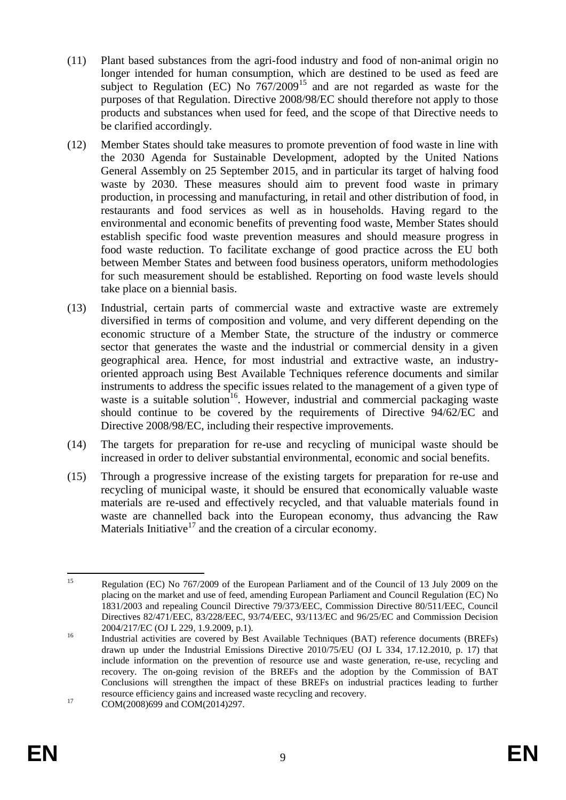- (11) Plant based substances from the agri-food industry and food of non-animal origin no longer intended for human consumption, which are destined to be used as feed are subject to Regulation (EC) No  $767/2009^{15}$  and are not regarded as waste for the purposes of that Regulation. Directive 2008/98/EC should therefore not apply to those products and substances when used for feed, and the scope of that Directive needs to be clarified accordingly.
- (12) Member States should take measures to promote prevention of food waste in line with the 2030 Agenda for Sustainable Development, adopted by the United Nations General Assembly on 25 September 2015, and in particular its target of halving food waste by 2030. These measures should aim to prevent food waste in primary production, in processing and manufacturing, in retail and other distribution of food, in restaurants and food services as well as in households. Having regard to the environmental and economic benefits of preventing food waste, Member States should establish specific food waste prevention measures and should measure progress in food waste reduction. To facilitate exchange of good practice across the EU both between Member States and between food business operators, uniform methodologies for such measurement should be established. Reporting on food waste levels should take place on a biennial basis.
- (13) Industrial, certain parts of commercial waste and extractive waste are extremely diversified in terms of composition and volume, and very different depending on the economic structure of a Member State, the structure of the industry or commerce sector that generates the waste and the industrial or commercial density in a given geographical area. Hence, for most industrial and extractive waste, an industryoriented approach using Best Available Techniques reference documents and similar instruments to address the specific issues related to the management of a given type of waste is a suitable solution<sup>16</sup>. However, industrial and commercial packaging waste should continue to be covered by the requirements of Directive 94/62/EC and Directive 2008/98/EC, including their respective improvements.
- (14) The targets for preparation for re-use and recycling of municipal waste should be increased in order to deliver substantial environmental, economic and social benefits.
- (15) Through a progressive increase of the existing targets for preparation for re-use and recycling of municipal waste, it should be ensured that economically valuable waste materials are re-used and effectively recycled, and that valuable materials found in waste are channelled back into the European economy, thus advancing the Raw Materials Initiative<sup>17</sup> and the creation of a circular economy.

 $15$ <sup>15</sup> Regulation (EC) No 767/2009 of the European Parliament and of the Council of 13 July 2009 on the placing on the market and use of feed, amending European Parliament and Council Regulation (EC) No 1831/2003 and repealing Council Directive 79/373/EEC, Commission Directive 80/511/EEC, Council Directives 82/471/EEC, 83/228/EEC, 93/74/EEC, 93/113/EC and 96/25/EC and Commission Decision 2004/217/EC (OJ L 229, 1.9.2009, p.1).

<sup>&</sup>lt;sup>16</sup> Industrial activities are covered by Best Available Techniques (BAT) reference documents (BREFs) drawn up under the Industrial Emissions Directive 2010/75/EU (OJ L 334, 17.12.2010, p. 17) that include information on the prevention of resource use and waste generation, re-use, recycling and recovery. The on-going revision of the BREFs and the adoption by the Commission of BAT Conclusions will strengthen the impact of these BREFs on industrial practices leading to further resource efficiency gains and increased waste recycling and recovery.

 $17$  COM(2008)699 and COM(2014)297.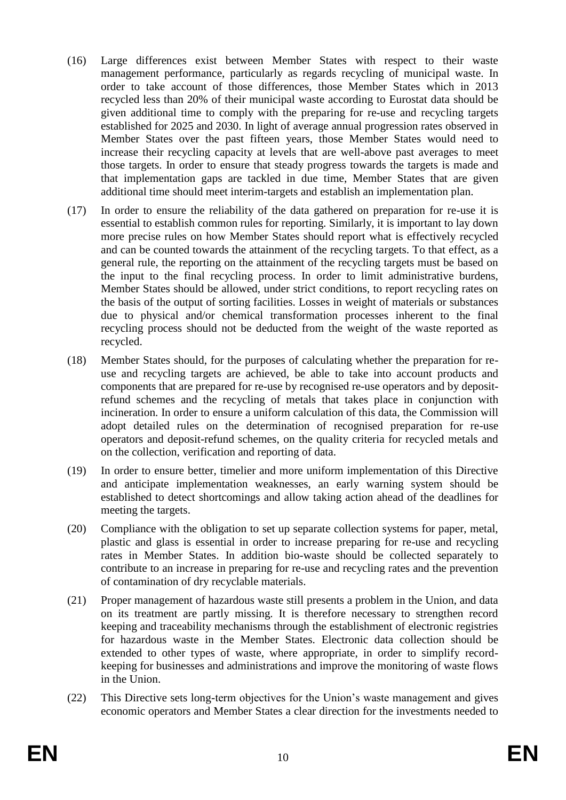- (16) Large differences exist between Member States with respect to their waste management performance, particularly as regards recycling of municipal waste. In order to take account of those differences, those Member States which in 2013 recycled less than 20% of their municipal waste according to Eurostat data should be given additional time to comply with the preparing for re-use and recycling targets established for 2025 and 2030. In light of average annual progression rates observed in Member States over the past fifteen years, those Member States would need to increase their recycling capacity at levels that are well-above past averages to meet those targets. In order to ensure that steady progress towards the targets is made and that implementation gaps are tackled in due time, Member States that are given additional time should meet interim-targets and establish an implementation plan.
- (17) In order to ensure the reliability of the data gathered on preparation for re-use it is essential to establish common rules for reporting. Similarly, it is important to lay down more precise rules on how Member States should report what is effectively recycled and can be counted towards the attainment of the recycling targets. To that effect, as a general rule, the reporting on the attainment of the recycling targets must be based on the input to the final recycling process. In order to limit administrative burdens, Member States should be allowed, under strict conditions, to report recycling rates on the basis of the output of sorting facilities. Losses in weight of materials or substances due to physical and/or chemical transformation processes inherent to the final recycling process should not be deducted from the weight of the waste reported as recycled.
- (18) Member States should, for the purposes of calculating whether the preparation for reuse and recycling targets are achieved, be able to take into account products and components that are prepared for re-use by recognised re-use operators and by depositrefund schemes and the recycling of metals that takes place in conjunction with incineration. In order to ensure a uniform calculation of this data, the Commission will adopt detailed rules on the determination of recognised preparation for re-use operators and deposit-refund schemes, on the quality criteria for recycled metals and on the collection, verification and reporting of data.
- (19) In order to ensure better, timelier and more uniform implementation of this Directive and anticipate implementation weaknesses, an early warning system should be established to detect shortcomings and allow taking action ahead of the deadlines for meeting the targets.
- (20) Compliance with the obligation to set up separate collection systems for paper, metal, plastic and glass is essential in order to increase preparing for re-use and recycling rates in Member States. In addition bio-waste should be collected separately to contribute to an increase in preparing for re-use and recycling rates and the prevention of contamination of dry recyclable materials.
- (21) Proper management of hazardous waste still presents a problem in the Union, and data on its treatment are partly missing. It is therefore necessary to strengthen record keeping and traceability mechanisms through the establishment of electronic registries for hazardous waste in the Member States. Electronic data collection should be extended to other types of waste, where appropriate, in order to simplify recordkeeping for businesses and administrations and improve the monitoring of waste flows in the Union.
- (22) This Directive sets long-term objectives for the Union's waste management and gives economic operators and Member States a clear direction for the investments needed to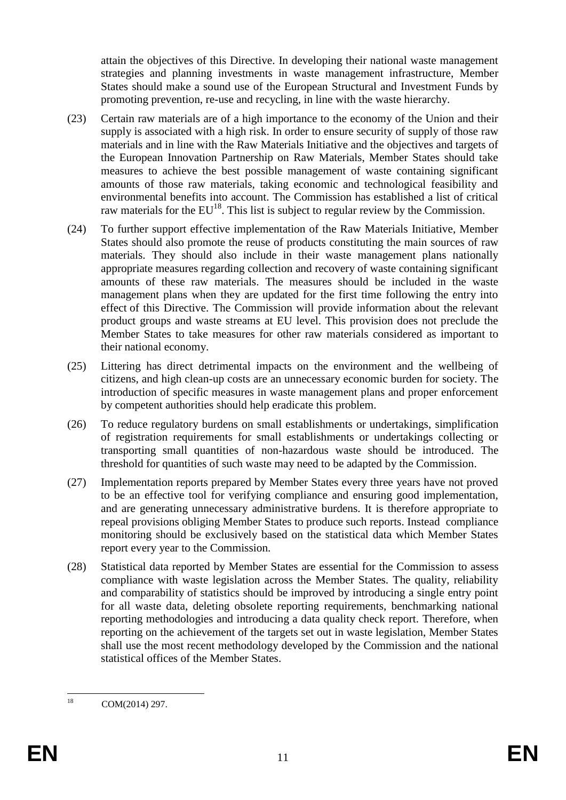attain the objectives of this Directive. In developing their national waste management strategies and planning investments in waste management infrastructure, Member States should make a sound use of the European Structural and Investment Funds by promoting prevention, re-use and recycling, in line with the waste hierarchy.

- (23) Certain raw materials are of a high importance to the economy of the Union and their supply is associated with a high risk. In order to ensure security of supply of those raw materials and in line with the Raw Materials Initiative and the objectives and targets of the European Innovation Partnership on Raw Materials, Member States should take measures to achieve the best possible management of waste containing significant amounts of those raw materials, taking economic and technological feasibility and environmental benefits into account. The Commission has established a list of critical raw materials for the  $EU^{18}$ . This list is subject to regular review by the Commission.
- (24) To further support effective implementation of the Raw Materials Initiative, Member States should also promote the reuse of products constituting the main sources of raw materials. They should also include in their waste management plans nationally appropriate measures regarding collection and recovery of waste containing significant amounts of these raw materials. The measures should be included in the waste management plans when they are updated for the first time following the entry into effect of this Directive. The Commission will provide information about the relevant product groups and waste streams at EU level. This provision does not preclude the Member States to take measures for other raw materials considered as important to their national economy.
- (25) Littering has direct detrimental impacts on the environment and the wellbeing of citizens, and high clean-up costs are an unnecessary economic burden for society. The introduction of specific measures in waste management plans and proper enforcement by competent authorities should help eradicate this problem.
- (26) To reduce regulatory burdens on small establishments or undertakings, simplification of registration requirements for small establishments or undertakings collecting or transporting small quantities of non-hazardous waste should be introduced. The threshold for quantities of such waste may need to be adapted by the Commission.
- (27) Implementation reports prepared by Member States every three years have not proved to be an effective tool for verifying compliance and ensuring good implementation, and are generating unnecessary administrative burdens. It is therefore appropriate to repeal provisions obliging Member States to produce such reports. Instead compliance monitoring should be exclusively based on the statistical data which Member States report every year to the Commission.
- (28) Statistical data reported by Member States are essential for the Commission to assess compliance with waste legislation across the Member States. The quality, reliability and comparability of statistics should be improved by introducing a single entry point for all waste data, deleting obsolete reporting requirements, benchmarking national reporting methodologies and introducing a data quality check report. Therefore, when reporting on the achievement of the targets set out in waste legislation, Member States shall use the most recent methodology developed by the Commission and the national statistical offices of the Member States.

<sup>18</sup> COM(2014) 297.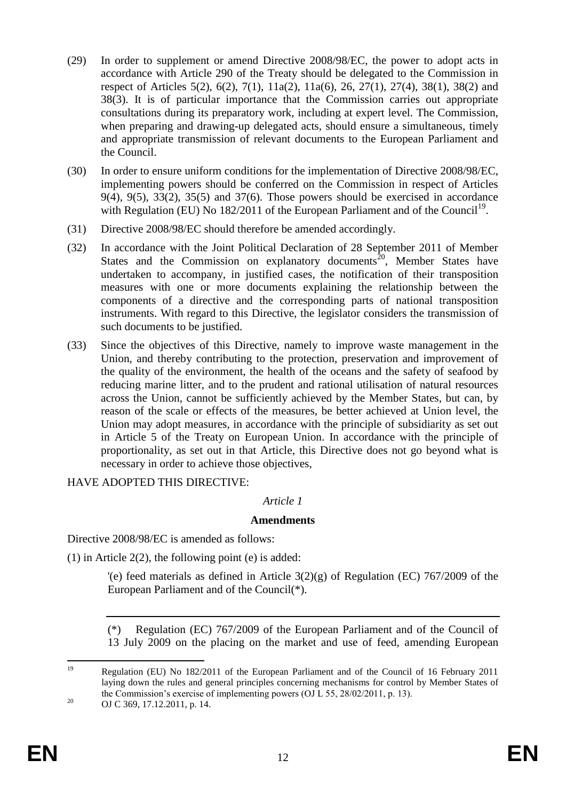- (29) In order to supplement or amend Directive 2008/98/EC, the power to adopt acts in accordance with Article 290 of the Treaty should be delegated to the Commission in respect of Articles 5(2), 6(2), 7(1), 11a(2), 11a(6), 26, 27(1), 27(4), 38(1), 38(2) and 38(3). It is of particular importance that the Commission carries out appropriate consultations during its preparatory work, including at expert level. The Commission, when preparing and drawing-up delegated acts, should ensure a simultaneous, timely and appropriate transmission of relevant documents to the European Parliament and the Council.
- (30) In order to ensure uniform conditions for the implementation of Directive 2008/98/EC, implementing powers should be conferred on the Commission in respect of Articles  $9(4)$ ,  $9(5)$ ,  $33(2)$ ,  $35(5)$  and  $37(6)$ . Those powers should be exercised in accordance with Regulation (EU) No 182/2011 of the European Parliament and of the Council<sup>19</sup>.
- (31) Directive 2008/98/EC should therefore be amended accordingly.
- (32) In accordance with the Joint Political Declaration of 28 September 2011 of Member States and the Commission on explanatory documents<sup>20</sup>, Member States have undertaken to accompany, in justified cases, the notification of their transposition measures with one or more documents explaining the relationship between the components of a directive and the corresponding parts of national transposition instruments. With regard to this Directive, the legislator considers the transmission of such documents to be justified.
- (33) Since the objectives of this Directive, namely to improve waste management in the Union, and thereby contributing to the protection, preservation and improvement of the quality of the environment, the health of the oceans and the safety of seafood by reducing marine litter, and to the prudent and rational utilisation of natural resources across the Union, cannot be sufficiently achieved by the Member States, but can, by reason of the scale or effects of the measures, be better achieved at Union level, the Union may adopt measures, in accordance with the principle of subsidiarity as set out in Article 5 of the Treaty on European Union. In accordance with the principle of proportionality, as set out in that Article, this Directive does not go beyond what is necessary in order to achieve those objectives,

HAVE ADOPTED THIS DIRECTIVE:

## *Article 1*

## **Amendments**

Directive 2008/98/EC is amended as follows:

(1) in Article  $2(2)$ , the following point (e) is added:

'(e) feed materials as defined in Article  $3(2)(g)$  of Regulation (EC) 767/2009 of the European Parliament and of the Council(\*).

(\*) Regulation (EC) 767/2009 of the European Parliament and of the Council of 13 July 2009 on the placing on the market and use of feed, amending European

 $10$ <sup>19</sup> Regulation (EU) No 182/2011 of the European Parliament and of the Council of 16 February 2011 laying down the rules and general principles concerning mechanisms for control by Member States of the Commission's exercise of implementing powers (OJ L 55, 28/02/2011, p. 13).

<sup>&</sup>lt;sup>20</sup> OJ C 369, 17.12.2011, p. 14.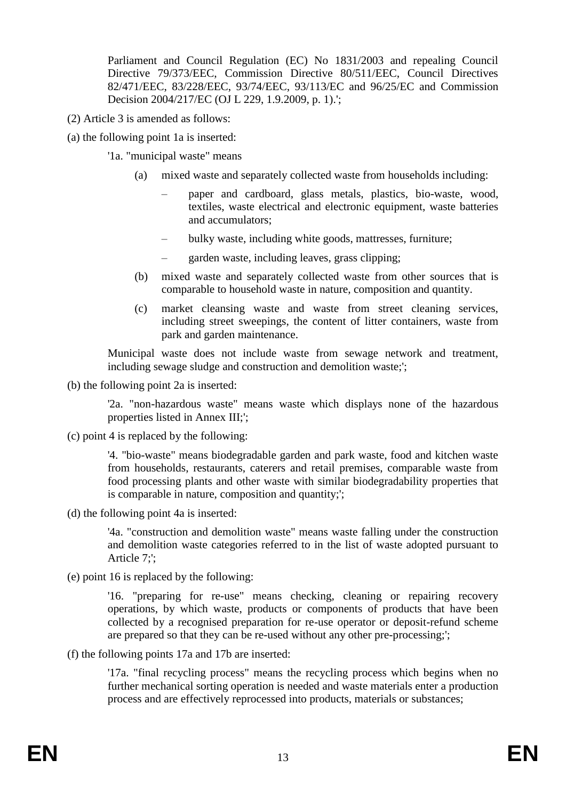Parliament and Council Regulation (EC) No 1831/2003 and repealing Council Directive 79/373/EEC, Commission Directive 80/511/EEC, Council Directives 82/471/EEC, 83/228/EEC, 93/74/EEC, 93/113/EC and 96/25/EC and Commission Decision 2004/217/EC (OJ L 229, 1.9.2009, p. 1).';

- (2) Article 3 is amended as follows:
- (a) the following point 1a is inserted:

'1a. "municipal waste" means

- (a) mixed waste and separately collected waste from households including:
	- paper and cardboard, glass metals, plastics, bio-waste, wood, textiles, waste electrical and electronic equipment, waste batteries and accumulators;
	- bulky waste, including white goods, mattresses, furniture;
	- garden waste, including leaves, grass clipping;
- (b) mixed waste and separately collected waste from other sources that is comparable to household waste in nature, composition and quantity.
- (c) market cleansing waste and waste from street cleaning services, including street sweepings, the content of litter containers, waste from park and garden maintenance.

Municipal waste does not include waste from sewage network and treatment, including sewage sludge and construction and demolition waste;';

(b) the following point 2a is inserted:

'2a. "non-hazardous waste" means waste which displays none of the hazardous properties listed in Annex III;';

(c) point 4 is replaced by the following:

'4. "bio-waste" means biodegradable garden and park waste, food and kitchen waste from households, restaurants, caterers and retail premises, comparable waste from food processing plants and other waste with similar biodegradability properties that is comparable in nature, composition and quantity;';

(d) the following point 4a is inserted:

'4a. "construction and demolition waste" means waste falling under the construction and demolition waste categories referred to in the list of waste adopted pursuant to Article 7;';

(e) point 16 is replaced by the following:

'16. "preparing for re-use" means checking, cleaning or repairing recovery operations, by which waste, products or components of products that have been collected by a recognised preparation for re-use operator or deposit-refund scheme are prepared so that they can be re-used without any other pre-processing;';

(f) the following points 17a and 17b are inserted:

'17a. "final recycling process" means the recycling process which begins when no further mechanical sorting operation is needed and waste materials enter a production process and are effectively reprocessed into products, materials or substances;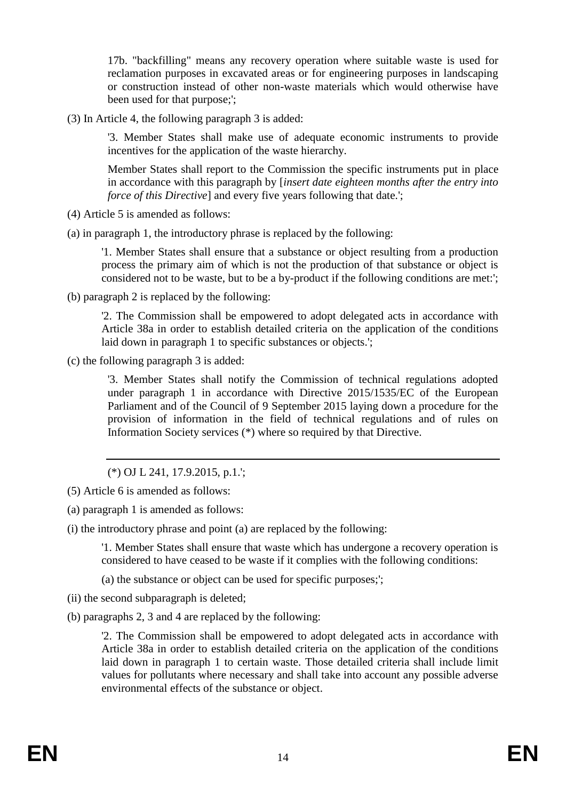17b. "backfilling" means any recovery operation where suitable waste is used for reclamation purposes in excavated areas or for engineering purposes in landscaping or construction instead of other non-waste materials which would otherwise have been used for that purpose;';

(3) In Article 4, the following paragraph 3 is added:

'3. Member States shall make use of adequate economic instruments to provide incentives for the application of the waste hierarchy.

Member States shall report to the Commission the specific instruments put in place in accordance with this paragraph by [*insert date eighteen months after the entry into force of this Directive*] and every five years following that date.';

- (4) Article 5 is amended as follows:
- (a) in paragraph 1, the introductory phrase is replaced by the following:

'1. Member States shall ensure that a substance or object resulting from a production process the primary aim of which is not the production of that substance or object is considered not to be waste, but to be a by-product if the following conditions are met:';

(b) paragraph 2 is replaced by the following:

'2. The Commission shall be empowered to adopt delegated acts in accordance with Article 38a in order to establish detailed criteria on the application of the conditions laid down in paragraph 1 to specific substances or objects.';

(c) the following paragraph 3 is added:

'3. Member States shall notify the Commission of technical regulations adopted under paragraph 1 in accordance with Directive 2015/1535/EC of the European Parliament and of the Council of 9 September 2015 laying down a procedure for the provision of information in the field of technical regulations and of rules on Information Society services (\*) where so required by that Directive.

(\*) OJ L 241, 17.9.2015, p.1.';

- (5) Article 6 is amended as follows:
- (a) paragraph 1 is amended as follows:
- (i) the introductory phrase and point (a) are replaced by the following:

'1. Member States shall ensure that waste which has undergone a recovery operation is considered to have ceased to be waste if it complies with the following conditions:

- (a) the substance or object can be used for specific purposes;';
- (ii) the second subparagraph is deleted;
- (b) paragraphs 2, 3 and 4 are replaced by the following:

'2. The Commission shall be empowered to adopt delegated acts in accordance with Article 38a in order to establish detailed criteria on the application of the conditions laid down in paragraph 1 to certain waste. Those detailed criteria shall include limit values for pollutants where necessary and shall take into account any possible adverse environmental effects of the substance or object.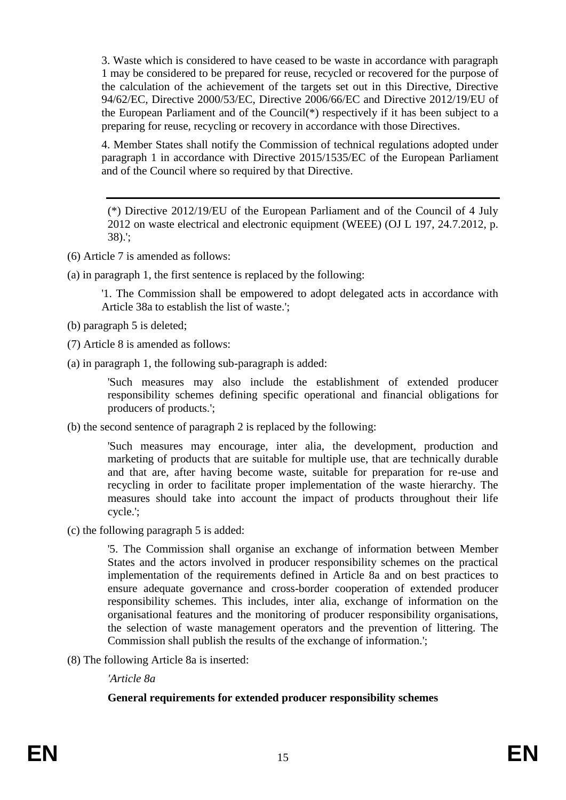3. Waste which is considered to have ceased to be waste in accordance with paragraph 1 may be considered to be prepared for reuse, recycled or recovered for the purpose of the calculation of the achievement of the targets set out in this Directive, Directive 94/62/EC, Directive 2000/53/EC, Directive 2006/66/EC and Directive 2012/19/EU of the European Parliament and of the Council(\*) respectively if it has been subject to a preparing for reuse, recycling or recovery in accordance with those Directives.

4. Member States shall notify the Commission of technical regulations adopted under paragraph 1 in accordance with Directive 2015/1535/EC of the European Parliament and of the Council where so required by that Directive.

(\*) Directive 2012/19/EU of the European Parliament and of the Council of 4 July 2012 on waste electrical and electronic equipment (WEEE) (OJ L 197, 24.7.2012, p. 38).';

- (6) Article 7 is amended as follows:
- (a) in paragraph 1, the first sentence is replaced by the following:

'1. The Commission shall be empowered to adopt delegated acts in accordance with Article 38a to establish the list of waste.';

- (b) paragraph 5 is deleted;
- (7) Article 8 is amended as follows:
- (a) in paragraph 1, the following sub-paragraph is added:

'Such measures may also include the establishment of extended producer responsibility schemes defining specific operational and financial obligations for producers of products.';

(b) the second sentence of paragraph 2 is replaced by the following:

'Such measures may encourage, inter alia, the development, production and marketing of products that are suitable for multiple use, that are technically durable and that are, after having become waste, suitable for preparation for re-use and recycling in order to facilitate proper implementation of the waste hierarchy. The measures should take into account the impact of products throughout their life cycle.';

(c) the following paragraph 5 is added:

'5. The Commission shall organise an exchange of information between Member States and the actors involved in producer responsibility schemes on the practical implementation of the requirements defined in Article 8a and on best practices to ensure adequate governance and cross-border cooperation of extended producer responsibility schemes. This includes, inter alia, exchange of information on the organisational features and the monitoring of producer responsibility organisations, the selection of waste management operators and the prevention of littering. The Commission shall publish the results of the exchange of information.';

(8) The following Article 8a is inserted:

*'Article 8a*

## **General requirements for extended producer responsibility schemes**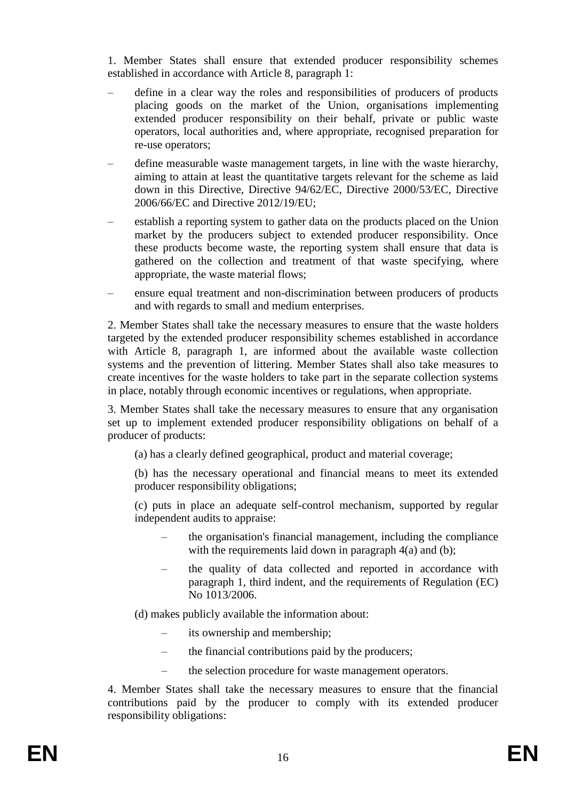1. Member States shall ensure that extended producer responsibility schemes established in accordance with Article 8, paragraph 1:

- define in a clear way the roles and responsibilities of producers of products placing goods on the market of the Union, organisations implementing extended producer responsibility on their behalf, private or public waste operators, local authorities and, where appropriate, recognised preparation for re-use operators;
- define measurable waste management targets, in line with the waste hierarchy, aiming to attain at least the quantitative targets relevant for the scheme as laid down in this Directive, Directive 94/62/EC, Directive 2000/53/EC, Directive 2006/66/EC and Directive 2012/19/EU;
- establish a reporting system to gather data on the products placed on the Union market by the producers subject to extended producer responsibility. Once these products become waste, the reporting system shall ensure that data is gathered on the collection and treatment of that waste specifying, where appropriate, the waste material flows;
- ensure equal treatment and non-discrimination between producers of products and with regards to small and medium enterprises.

2. Member States shall take the necessary measures to ensure that the waste holders targeted by the extended producer responsibility schemes established in accordance with Article 8, paragraph 1, are informed about the available waste collection systems and the prevention of littering. Member States shall also take measures to create incentives for the waste holders to take part in the separate collection systems in place, notably through economic incentives or regulations, when appropriate.

3. Member States shall take the necessary measures to ensure that any organisation set up to implement extended producer responsibility obligations on behalf of a producer of products:

(a) has a clearly defined geographical, product and material coverage;

(b) has the necessary operational and financial means to meet its extended producer responsibility obligations;

(c) puts in place an adequate self-control mechanism, supported by regular independent audits to appraise:

- the organisation's financial management, including the compliance with the requirements laid down in paragraph 4(a) and (b);
- the quality of data collected and reported in accordance with paragraph 1, third indent, and the requirements of Regulation (EC) No 1013/2006.
- (d) makes publicly available the information about:
	- its ownership and membership;
	- the financial contributions paid by the producers;
	- the selection procedure for waste management operators.

4. Member States shall take the necessary measures to ensure that the financial contributions paid by the producer to comply with its extended producer responsibility obligations: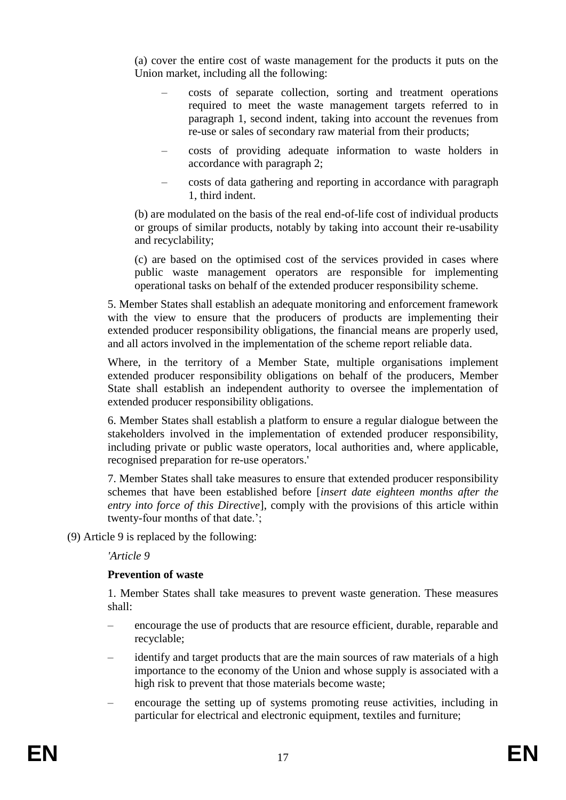(a) cover the entire cost of waste management for the products it puts on the Union market, including all the following:

- costs of separate collection, sorting and treatment operations required to meet the waste management targets referred to in paragraph 1, second indent, taking into account the revenues from re-use or sales of secondary raw material from their products;
- costs of providing adequate information to waste holders in accordance with paragraph 2;
- costs of data gathering and reporting in accordance with paragraph 1, third indent.

(b) are modulated on the basis of the real end-of-life cost of individual products or groups of similar products, notably by taking into account their re-usability and recyclability;

(c) are based on the optimised cost of the services provided in cases where public waste management operators are responsible for implementing operational tasks on behalf of the extended producer responsibility scheme.

5. Member States shall establish an adequate monitoring and enforcement framework with the view to ensure that the producers of products are implementing their extended producer responsibility obligations, the financial means are properly used. and all actors involved in the implementation of the scheme report reliable data.

Where, in the territory of a Member State, multiple organisations implement extended producer responsibility obligations on behalf of the producers, Member State shall establish an independent authority to oversee the implementation of extended producer responsibility obligations.

6. Member States shall establish a platform to ensure a regular dialogue between the stakeholders involved in the implementation of extended producer responsibility, including private or public waste operators, local authorities and, where applicable, recognised preparation for re-use operators.'

7. Member States shall take measures to ensure that extended producer responsibility schemes that have been established before [*insert date eighteen months after the entry into force of this Directive*], comply with the provisions of this article within twenty-four months of that date.';

(9) Article 9 is replaced by the following:

*'Article 9*

## **Prevention of waste**

1. Member States shall take measures to prevent waste generation. These measures shall:

- encourage the use of products that are resource efficient, durable, reparable and recyclable;
- identify and target products that are the main sources of raw materials of a high importance to the economy of the Union and whose supply is associated with a high risk to prevent that those materials become waste;
- encourage the setting up of systems promoting reuse activities, including in particular for electrical and electronic equipment, textiles and furniture;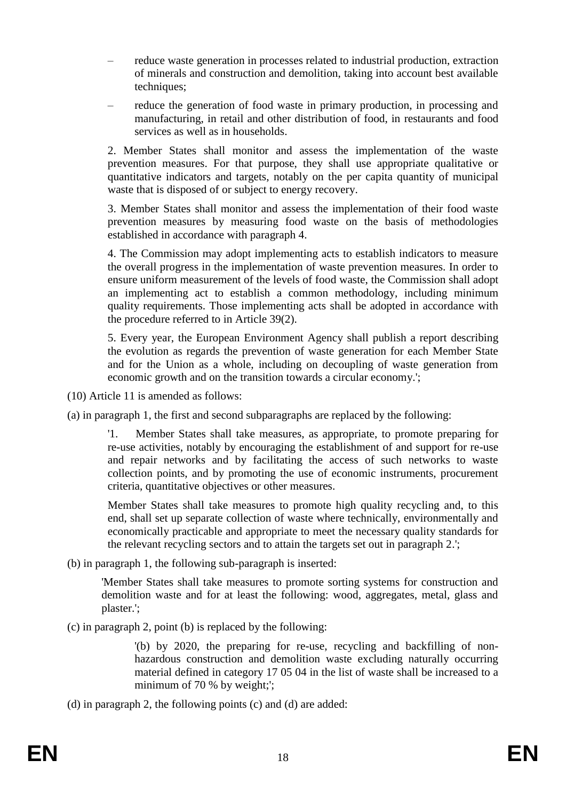- reduce waste generation in processes related to industrial production, extraction of minerals and construction and demolition, taking into account best available techniques;
- reduce the generation of food waste in primary production, in processing and manufacturing, in retail and other distribution of food, in restaurants and food services as well as in households.

2. Member States shall monitor and assess the implementation of the waste prevention measures. For that purpose, they shall use appropriate qualitative or quantitative indicators and targets, notably on the per capita quantity of municipal waste that is disposed of or subject to energy recovery.

3. Member States shall monitor and assess the implementation of their food waste prevention measures by measuring food waste on the basis of methodologies established in accordance with paragraph 4.

4. The Commission may adopt implementing acts to establish indicators to measure the overall progress in the implementation of waste prevention measures. In order to ensure uniform measurement of the levels of food waste, the Commission shall adopt an implementing act to establish a common methodology, including minimum quality requirements. Those implementing acts shall be adopted in accordance with the procedure referred to in Article 39(2).

5. Every year, the European Environment Agency shall publish a report describing the evolution as regards the prevention of waste generation for each Member State and for the Union as a whole, including on decoupling of waste generation from economic growth and on the transition towards a circular economy.';

(10) Article 11 is amended as follows:

(a) in paragraph 1, the first and second subparagraphs are replaced by the following:

'1. Member States shall take measures, as appropriate, to promote preparing for re-use activities, notably by encouraging the establishment of and support for re-use and repair networks and by facilitating the access of such networks to waste collection points, and by promoting the use of economic instruments, procurement criteria, quantitative objectives or other measures.

Member States shall take measures to promote high quality recycling and, to this end, shall set up separate collection of waste where technically, environmentally and economically practicable and appropriate to meet the necessary quality standards for the relevant recycling sectors and to attain the targets set out in paragraph 2.';

(b) in paragraph 1, the following sub-paragraph is inserted:

'Member States shall take measures to promote sorting systems for construction and demolition waste and for at least the following: wood, aggregates, metal, glass and plaster.';

(c) in paragraph 2, point (b) is replaced by the following:

'(b) by 2020, the preparing for re-use, recycling and backfilling of nonhazardous construction and demolition waste excluding naturally occurring material defined in category 17 05 04 in the list of waste shall be increased to a minimum of 70 % by weight;';

(d) in paragraph 2, the following points (c) and (d) are added: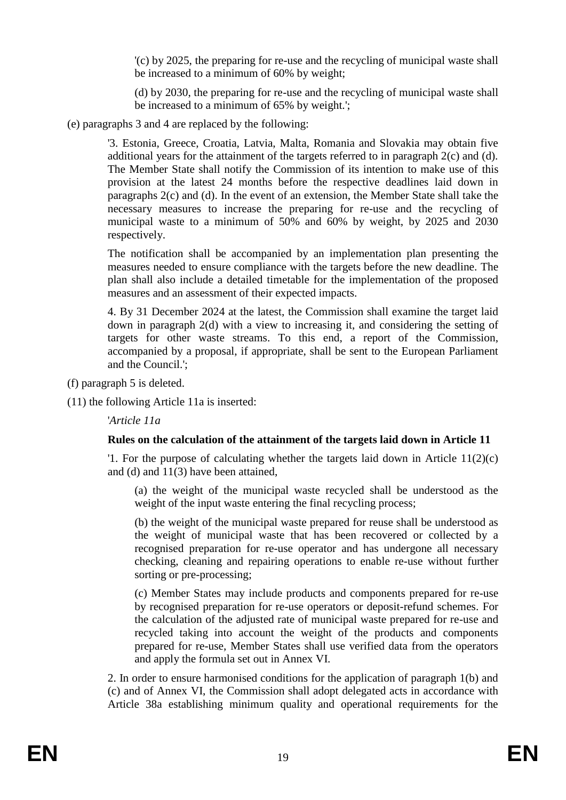'(c) by 2025, the preparing for re-use and the recycling of municipal waste shall be increased to a minimum of 60% by weight;

(d) by 2030, the preparing for re-use and the recycling of municipal waste shall be increased to a minimum of 65% by weight.';

(e) paragraphs 3 and 4 are replaced by the following:

'3. Estonia, Greece, Croatia, Latvia, Malta, Romania and Slovakia may obtain five additional years for the attainment of the targets referred to in paragraph 2(c) and (d). The Member State shall notify the Commission of its intention to make use of this provision at the latest 24 months before the respective deadlines laid down in paragraphs 2(c) and (d). In the event of an extension, the Member State shall take the necessary measures to increase the preparing for re-use and the recycling of municipal waste to a minimum of 50% and 60% by weight, by 2025 and 2030 respectively.

The notification shall be accompanied by an implementation plan presenting the measures needed to ensure compliance with the targets before the new deadline. The plan shall also include a detailed timetable for the implementation of the proposed measures and an assessment of their expected impacts.

4. By 31 December 2024 at the latest, the Commission shall examine the target laid down in paragraph 2(d) with a view to increasing it, and considering the setting of targets for other waste streams. To this end, a report of the Commission, accompanied by a proposal, if appropriate, shall be sent to the European Parliament and the Council.';

(f) paragraph 5 is deleted.

(11) the following Article 11a is inserted:

'*Article 11a*

## **Rules on the calculation of the attainment of the targets laid down in Article 11**

'1. For the purpose of calculating whether the targets laid down in Article 11(2)(c) and (d) and 11(3) have been attained,

(a) the weight of the municipal waste recycled shall be understood as the weight of the input waste entering the final recycling process;

(b) the weight of the municipal waste prepared for reuse shall be understood as the weight of municipal waste that has been recovered or collected by a recognised preparation for re-use operator and has undergone all necessary checking, cleaning and repairing operations to enable re-use without further sorting or pre-processing;

(c) Member States may include products and components prepared for re-use by recognised preparation for re-use operators or deposit-refund schemes. For the calculation of the adjusted rate of municipal waste prepared for re-use and recycled taking into account the weight of the products and components prepared for re-use, Member States shall use verified data from the operators and apply the formula set out in Annex VI.

2. In order to ensure harmonised conditions for the application of paragraph 1(b) and (c) and of Annex VI, the Commission shall adopt delegated acts in accordance with Article 38a establishing minimum quality and operational requirements for the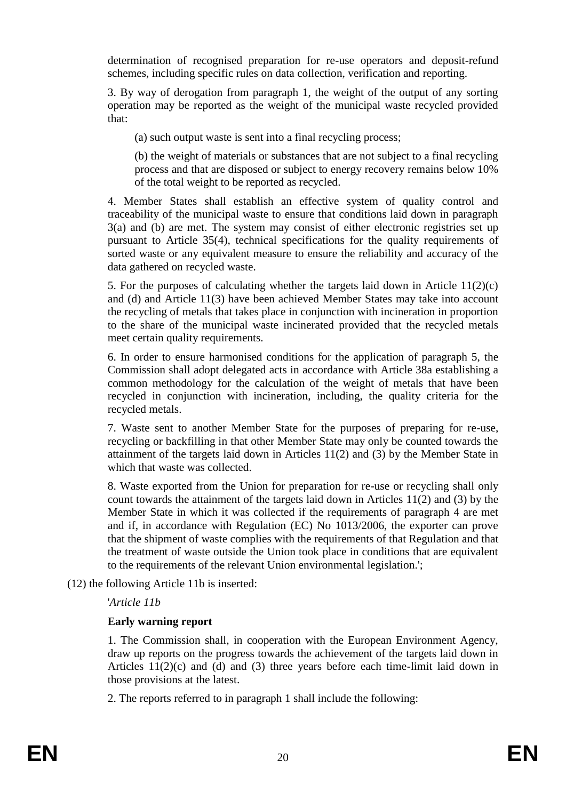determination of recognised preparation for re-use operators and deposit-refund schemes, including specific rules on data collection, verification and reporting.

3. By way of derogation from paragraph 1, the weight of the output of any sorting operation may be reported as the weight of the municipal waste recycled provided that:

(a) such output waste is sent into a final recycling process;

(b) the weight of materials or substances that are not subject to a final recycling process and that are disposed or subject to energy recovery remains below 10% of the total weight to be reported as recycled.

4. Member States shall establish an effective system of quality control and traceability of the municipal waste to ensure that conditions laid down in paragraph 3(a) and (b) are met. The system may consist of either electronic registries set up pursuant to Article 35(4), technical specifications for the quality requirements of sorted waste or any equivalent measure to ensure the reliability and accuracy of the data gathered on recycled waste.

5. For the purposes of calculating whether the targets laid down in Article 11(2)(c) and (d) and Article 11(3) have been achieved Member States may take into account the recycling of metals that takes place in conjunction with incineration in proportion to the share of the municipal waste incinerated provided that the recycled metals meet certain quality requirements.

6. In order to ensure harmonised conditions for the application of paragraph 5, the Commission shall adopt delegated acts in accordance with Article 38a establishing a common methodology for the calculation of the weight of metals that have been recycled in conjunction with incineration, including, the quality criteria for the recycled metals.

7. Waste sent to another Member State for the purposes of preparing for re-use, recycling or backfilling in that other Member State may only be counted towards the attainment of the targets laid down in Articles 11(2) and (3) by the Member State in which that waste was collected.

8. Waste exported from the Union for preparation for re-use or recycling shall only count towards the attainment of the targets laid down in Articles 11(2) and (3) by the Member State in which it was collected if the requirements of paragraph 4 are met and if, in accordance with Regulation (EC) No 1013/2006, the exporter can prove that the shipment of waste complies with the requirements of that Regulation and that the treatment of waste outside the Union took place in conditions that are equivalent to the requirements of the relevant Union environmental legislation.';

(12) the following Article 11b is inserted:

# '*Article 11b*

# **Early warning report**

1. The Commission shall, in cooperation with the European Environment Agency, draw up reports on the progress towards the achievement of the targets laid down in Articles  $11(2)(c)$  and (d) and (3) three years before each time-limit laid down in those provisions at the latest.

2. The reports referred to in paragraph 1 shall include the following: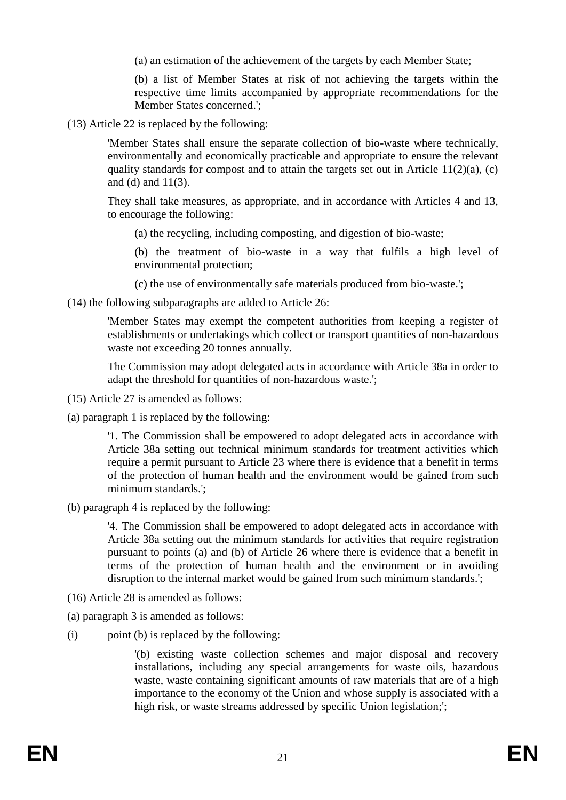(a) an estimation of the achievement of the targets by each Member State;

(b) a list of Member States at risk of not achieving the targets within the respective time limits accompanied by appropriate recommendations for the Member States concerned.';

(13) Article 22 is replaced by the following:

'Member States shall ensure the separate collection of bio-waste where technically, environmentally and economically practicable and appropriate to ensure the relevant quality standards for compost and to attain the targets set out in Article  $11(2)(a)$ , (c) and (d) and 11(3).

They shall take measures, as appropriate, and in accordance with Articles 4 and 13, to encourage the following:

(a) the recycling, including composting, and digestion of bio-waste;

(b) the treatment of bio-waste in a way that fulfils a high level of environmental protection;

(c) the use of environmentally safe materials produced from bio-waste.';

(14) the following subparagraphs are added to Article 26:

'Member States may exempt the competent authorities from keeping a register of establishments or undertakings which collect or transport quantities of non-hazardous waste not exceeding 20 tonnes annually.

The Commission may adopt delegated acts in accordance with Article 38a in order to adapt the threshold for quantities of non-hazardous waste.';

- (15) Article 27 is amended as follows:
- (a) paragraph 1 is replaced by the following:

'1. The Commission shall be empowered to adopt delegated acts in accordance with Article 38a setting out technical minimum standards for treatment activities which require a permit pursuant to Article 23 where there is evidence that a benefit in terms of the protection of human health and the environment would be gained from such minimum standards.';

(b) paragraph 4 is replaced by the following:

'4. The Commission shall be empowered to adopt delegated acts in accordance with Article 38a setting out the minimum standards for activities that require registration pursuant to points (a) and (b) of Article 26 where there is evidence that a benefit in terms of the protection of human health and the environment or in avoiding disruption to the internal market would be gained from such minimum standards.';

- (16) Article 28 is amended as follows:
- (a) paragraph 3 is amended as follows:
- (i) point (b) is replaced by the following:

'(b) existing waste collection schemes and major disposal and recovery installations, including any special arrangements for waste oils, hazardous waste, waste containing significant amounts of raw materials that are of a high importance to the economy of the Union and whose supply is associated with a high risk, or waste streams addressed by specific Union legislation;';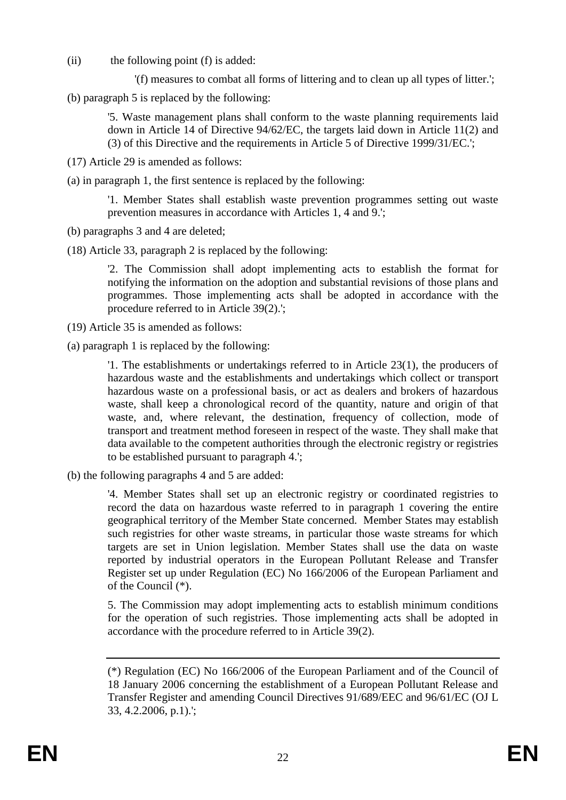(ii) the following point (f) is added:

'(f) measures to combat all forms of littering and to clean up all types of litter.';

(b) paragraph 5 is replaced by the following:

'5. Waste management plans shall conform to the waste planning requirements laid down in Article 14 of Directive 94/62/EC, the targets laid down in Article 11(2) and (3) of this Directive and the requirements in Article 5 of Directive 1999/31/EC.';

(17) Article 29 is amended as follows:

(a) in paragraph 1, the first sentence is replaced by the following:

'1. Member States shall establish waste prevention programmes setting out waste prevention measures in accordance with Articles 1, 4 and 9.';

- (b) paragraphs 3 and 4 are deleted;
- (18) Article 33, paragraph 2 is replaced by the following:

'2. The Commission shall adopt implementing acts to establish the format for notifying the information on the adoption and substantial revisions of those plans and programmes. Those implementing acts shall be adopted in accordance with the procedure referred to in Article 39(2).';

- (19) Article 35 is amended as follows:
- (a) paragraph 1 is replaced by the following:

'1. The establishments or undertakings referred to in Article 23(1), the producers of hazardous waste and the establishments and undertakings which collect or transport hazardous waste on a professional basis, or act as dealers and brokers of hazardous waste, shall keep a chronological record of the quantity, nature and origin of that waste, and, where relevant, the destination, frequency of collection, mode of transport and treatment method foreseen in respect of the waste. They shall make that data available to the competent authorities through the electronic registry or registries to be established pursuant to paragraph 4.';

(b) the following paragraphs 4 and 5 are added:

'4. Member States shall set up an electronic registry or coordinated registries to record the data on hazardous waste referred to in paragraph 1 covering the entire geographical territory of the Member State concerned. Member States may establish such registries for other waste streams, in particular those waste streams for which targets are set in Union legislation. Member States shall use the data on waste reported by industrial operators in the European Pollutant Release and Transfer Register set up under Regulation (EC) No 166/2006 of the European Parliament and of the Council (\*).

5. The Commission may adopt implementing acts to establish minimum conditions for the operation of such registries. Those implementing acts shall be adopted in accordance with the procedure referred to in Article 39(2).

<sup>(\*)</sup> Regulation (EC) No 166/2006 of the European Parliament and of the Council of 18 January 2006 concerning the establishment of a European Pollutant Release and Transfer Register and amending Council Directives 91/689/EEC and 96/61/EC (OJ L 33, 4.2.2006, p.1).';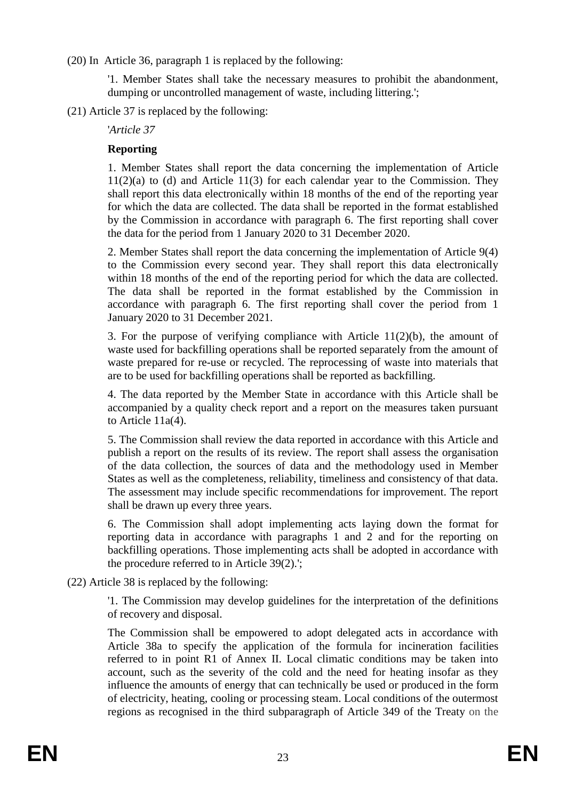(20) In Article 36, paragraph 1 is replaced by the following:

'1. Member States shall take the necessary measures to prohibit the abandonment, dumping or uncontrolled management of waste, including littering.';

(21) Article 37 is replaced by the following:

'*Article 37*

### **Reporting**

1. Member States shall report the data concerning the implementation of Article  $11(2)(a)$  to (d) and Article 11(3) for each calendar year to the Commission. They shall report this data electronically within 18 months of the end of the reporting year for which the data are collected. The data shall be reported in the format established by the Commission in accordance with paragraph 6. The first reporting shall cover the data for the period from 1 January 2020 to 31 December 2020.

2. Member States shall report the data concerning the implementation of Article 9(4) to the Commission every second year. They shall report this data electronically within 18 months of the end of the reporting period for which the data are collected. The data shall be reported in the format established by the Commission in accordance with paragraph 6. The first reporting shall cover the period from 1 January 2020 to 31 December 2021.

3. For the purpose of verifying compliance with Article 11(2)(b), the amount of waste used for backfilling operations shall be reported separately from the amount of waste prepared for re-use or recycled. The reprocessing of waste into materials that are to be used for backfilling operations shall be reported as backfilling.

4. The data reported by the Member State in accordance with this Article shall be accompanied by a quality check report and a report on the measures taken pursuant to Article 11a(4).

5. The Commission shall review the data reported in accordance with this Article and publish a report on the results of its review. The report shall assess the organisation of the data collection, the sources of data and the methodology used in Member States as well as the completeness, reliability, timeliness and consistency of that data. The assessment may include specific recommendations for improvement. The report shall be drawn up every three years.

6. The Commission shall adopt implementing acts laying down the format for reporting data in accordance with paragraphs 1 and 2 and for the reporting on backfilling operations. Those implementing acts shall be adopted in accordance with the procedure referred to in Article 39(2).';

(22) Article 38 is replaced by the following:

'1. The Commission may develop guidelines for the interpretation of the definitions of recovery and disposal.

The Commission shall be empowered to adopt delegated acts in accordance with Article 38a to specify the application of the formula for incineration facilities referred to in point R1 of Annex II. Local climatic conditions may be taken into account, such as the severity of the cold and the need for heating insofar as they influence the amounts of energy that can technically be used or produced in the form of electricity, heating, cooling or processing steam. Local conditions of the outermost regions as recognised in the third subparagraph of Article 349 of the Treaty on the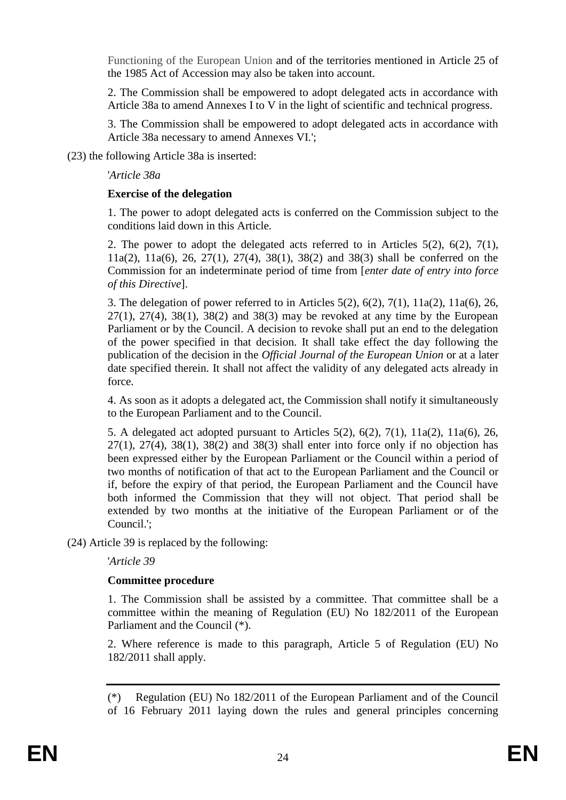Functioning of the European Union and of the territories mentioned in Article 25 of the 1985 Act of Accession may also be taken into account.

2. The Commission shall be empowered to adopt delegated acts in accordance with Article 38a to amend Annexes I to V in the light of scientific and technical progress.

3. The Commission shall be empowered to adopt delegated acts in accordance with Article 38a necessary to amend Annexes VI.';

(23) the following Article 38a is inserted:

'*Article 38a*

### **Exercise of the delegation**

1. The power to adopt delegated acts is conferred on the Commission subject to the conditions laid down in this Article.

2. The power to adopt the delegated acts referred to in Articles 5(2), 6(2), 7(1), 11a(2), 11a(6), 26, 27(1), 27(4), 38(1), 38(2) and 38(3) shall be conferred on the Commission for an indeterminate period of time from [*enter date of entry into force of this Directive*].

3. The delegation of power referred to in Articles 5(2), 6(2), 7(1), 11a(2), 11a(6), 26,  $27(1)$ ,  $27(4)$ ,  $38(1)$ ,  $38(2)$  and  $38(3)$  may be revoked at any time by the European Parliament or by the Council. A decision to revoke shall put an end to the delegation of the power specified in that decision. It shall take effect the day following the publication of the decision in the *Official Journal of the European Union* or at a later date specified therein. It shall not affect the validity of any delegated acts already in force.

4. As soon as it adopts a delegated act, the Commission shall notify it simultaneously to the European Parliament and to the Council.

5. A delegated act adopted pursuant to Articles 5(2), 6(2), 7(1), 11a(2), 11a(6), 26,  $27(1)$ ,  $27(4)$ ,  $38(1)$ ,  $38(2)$  and  $38(3)$  shall enter into force only if no objection has been expressed either by the European Parliament or the Council within a period of two months of notification of that act to the European Parliament and the Council or if, before the expiry of that period, the European Parliament and the Council have both informed the Commission that they will not object. That period shall be extended by two months at the initiative of the European Parliament or of the Council.';

(24) Article 39 is replaced by the following:

'*Article 39*

## **Committee procedure**

1. The Commission shall be assisted by a committee. That committee shall be a committee within the meaning of Regulation (EU) No 182/2011 of the European Parliament and the Council (\*).

2. Where reference is made to this paragraph, Article 5 of Regulation (EU) No 182/2011 shall apply.

<sup>(\*)</sup> Regulation (EU) No 182/2011 of the European Parliament and of the Council of 16 February 2011 laying down the rules and general principles concerning